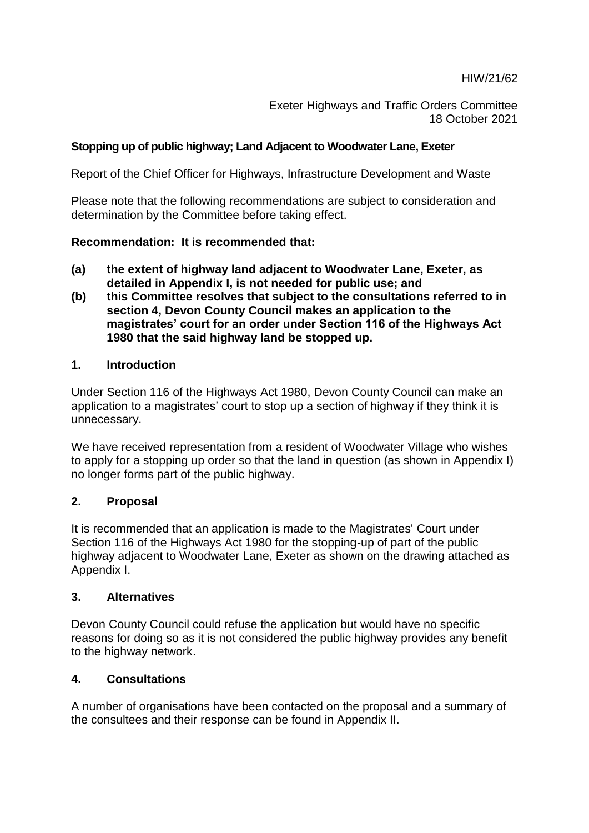Exeter Highways and Traffic Orders Committee 18 October 2021

#### **Stopping up of public highway; Land Adjacent to Woodwater Lane, Exeter**

Report of the Chief Officer for Highways, Infrastructure Development and Waste

Please note that the following recommendations are subject to consideration and determination by the Committee before taking effect.

#### **Recommendation: It is recommended that:**

- **(a) the extent of highway land adjacent to Woodwater Lane, Exeter, as detailed in Appendix I, is not needed for public use; and**
- **(b) this Committee resolves that subject to the consultations referred to in section 4, Devon County Council makes an application to the magistrates' court for an order under Section 116 of the Highways Act 1980 that the said highway land be stopped up.**

#### **1. Introduction**

Under Section 116 of the Highways Act 1980, Devon County Council can make an application to a magistrates' court to stop up a section of highway if they think it is unnecessary.

We have received representation from a resident of Woodwater Village who wishes to apply for a stopping up order so that the land in question (as shown in Appendix I) no longer forms part of the public highway.

# **2. Proposal**

It is recommended that an application is made to the Magistrates' Court under Section 116 of the Highways Act 1980 for the stopping-up of part of the public highway adjacent to Woodwater Lane, Exeter as shown on the drawing attached as Appendix I.

#### **3. Alternatives**

Devon County Council could refuse the application but would have no specific reasons for doing so as it is not considered the public highway provides any benefit to the highway network.

#### **4. Consultations**

A number of organisations have been contacted on the proposal and a summary of the consultees and their response can be found in Appendix II.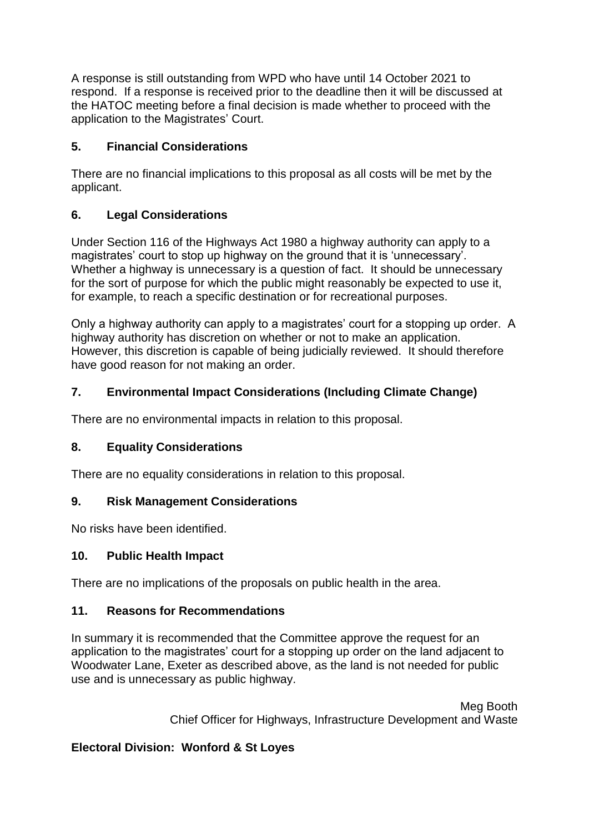A response is still outstanding from WPD who have until 14 October 2021 to respond. If a response is received prior to the deadline then it will be discussed at the HATOC meeting before a final decision is made whether to proceed with the application to the Magistrates' Court.

# **5. Financial Considerations**

There are no financial implications to this proposal as all costs will be met by the applicant.

# **6. Legal Considerations**

Under Section 116 of the Highways Act 1980 a highway authority can apply to a magistrates' court to stop up highway on the ground that it is 'unnecessary'. Whether a highway is unnecessary is a question of fact. It should be unnecessary for the sort of purpose for which the public might reasonably be expected to use it, for example, to reach a specific destination or for recreational purposes.

Only a highway authority can apply to a magistrates' court for a stopping up order. A highway authority has discretion on whether or not to make an application. However, this discretion is capable of being judicially reviewed. It should therefore have good reason for not making an order.

# **7. Environmental Impact Considerations (Including Climate Change)**

There are no environmental impacts in relation to this proposal.

# **8. Equality Considerations**

There are no equality considerations in relation to this proposal.

# **9. Risk Management Considerations**

No risks have been identified.

# **10. Public Health Impact**

There are no implications of the proposals on public health in the area.

# **11. Reasons for Recommendations**

In summary it is recommended that the Committee approve the request for an application to the magistrates' court for a stopping up order on the land adjacent to Woodwater Lane, Exeter as described above, as the land is not needed for public use and is unnecessary as public highway.

> Meg Booth Chief Officer for Highways, Infrastructure Development and Waste

# **Electoral Division: Wonford & St Loyes**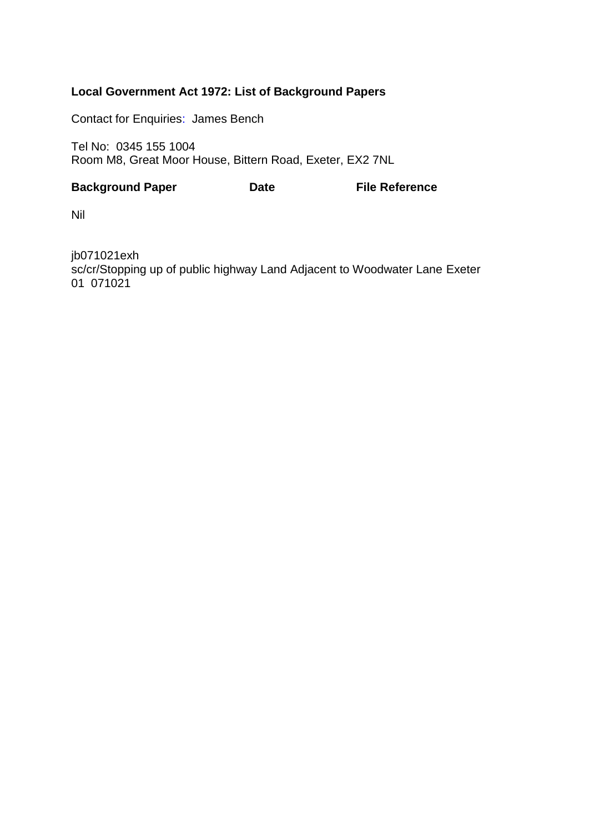#### **Local Government Act 1972: List of Background Papers**

Contact for Enquiries: James Bench

Tel No: 0345 155 1004 Room M8, Great Moor House, Bittern Road, Exeter, EX2 7NL

#### **Background Paper Case Case Case Case Reference**

Nil

jb071021exh sc/cr/Stopping up of public highway Land Adjacent to Woodwater Lane Exeter 01 071021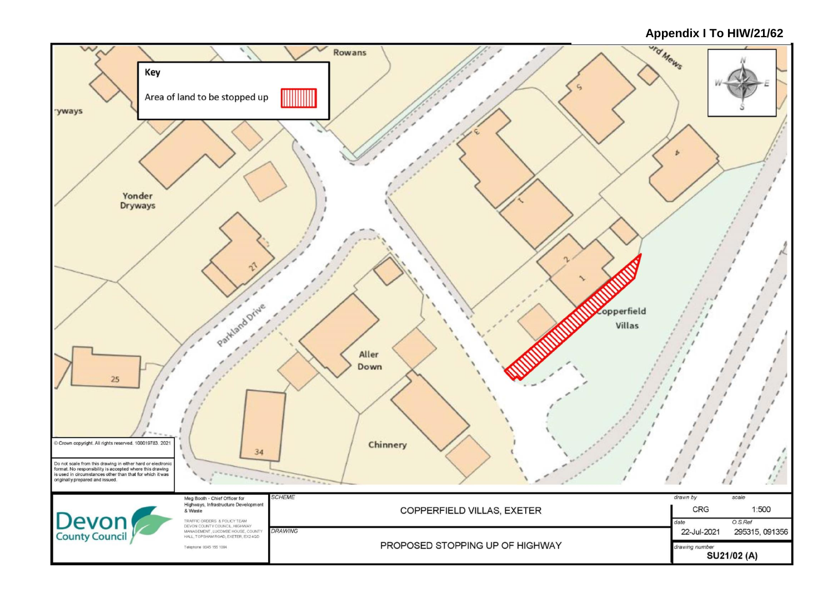